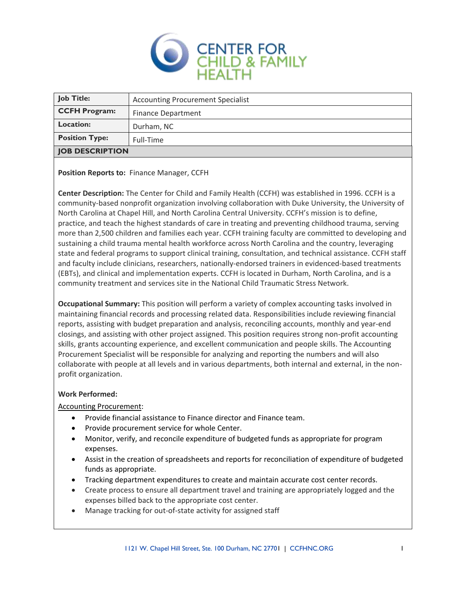

| <b>Job Title:</b>      | <b>Accounting Procurement Specialist</b> |
|------------------------|------------------------------------------|
| <b>CCFH Program:</b>   | <b>Finance Department</b>                |
| <b>Location:</b>       | Durham, NC                               |
| <b>Position Type:</b>  | Full-Time                                |
| <b>JOB DESCRIPTION</b> |                                          |

**Position Reports to:** Finance Manager, CCFH

**Center Description:** The Center for Child and Family Health (CCFH) was established in 1996. CCFH is a community-based nonprofit organization involving collaboration with Duke University, the University of North Carolina at Chapel Hill, and North Carolina Central University. CCFH's mission is to define, practice, and teach the highest standards of care in treating and preventing childhood trauma, serving more than 2,500 children and families each year. CCFH training faculty are committed to developing and sustaining a child trauma mental health workforce across North Carolina and the country, leveraging state and federal programs to support clinical training, consultation, and technical assistance. CCFH staff and faculty include clinicians, researchers, nationally-endorsed trainers in evidenced-based treatments (EBTs), and clinical and implementation experts. CCFH is located in Durham, North Carolina, and is a community treatment and services site in the National Child Traumatic Stress Network.

**Occupational Summary:** This position will perform a variety of complex accounting tasks involved in maintaining financial records and processing related data. Responsibilities include reviewing financial reports, assisting with budget preparation and analysis, reconciling accounts, monthly and year-end closings, and assisting with other project assigned. This position requires strong non-profit accounting skills, grants accounting experience, and excellent communication and people skills. The Accounting Procurement Specialist will be responsible for analyzing and reporting the numbers and will also collaborate with people at all levels and in various departments, both internal and external, in the nonprofit organization.

## **Work Performed:**

Accounting Procurement:

- Provide financial assistance to Finance director and Finance team.
- Provide procurement service for whole Center.
- Monitor, verify, and reconcile expenditure of budgeted funds as appropriate for program expenses.
- Assist in the creation of spreadsheets and reports for reconciliation of expenditure of budgeted funds as appropriate.
- Tracking department expenditures to create and maintain accurate cost center records.
- Create process to ensure all department travel and training are appropriately logged and the expenses billed back to the appropriate cost center.
- Manage tracking for out-of-state activity for assigned staff